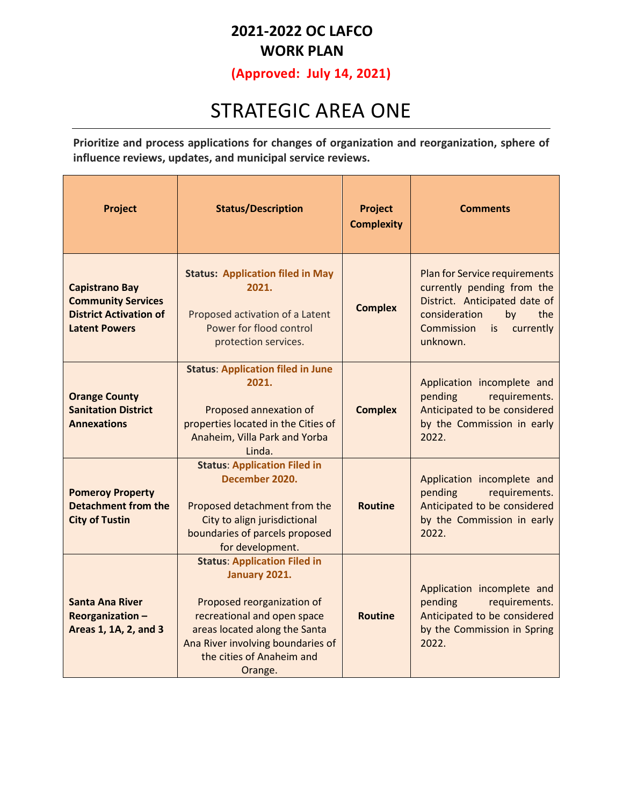### **2021-2022 OC LAFCO WORK PLAN**

**(Approved: July 14, 2021)** 

## STRATEGIC AREA ONE

**Prioritize and process applications for changes of organization and reorganization, sphere of influence reviews, updates, and municipal service reviews.**

| Project                                                                                                     | <b>Status/Description</b>                                                                                                                                                                                                       | Project<br><b>Complexity</b> | <b>Comments</b>                                                                                                                                                            |
|-------------------------------------------------------------------------------------------------------------|---------------------------------------------------------------------------------------------------------------------------------------------------------------------------------------------------------------------------------|------------------------------|----------------------------------------------------------------------------------------------------------------------------------------------------------------------------|
| <b>Capistrano Bay</b><br><b>Community Services</b><br><b>District Activation of</b><br><b>Latent Powers</b> | <b>Status: Application filed in May</b><br>2021.<br>Proposed activation of a Latent<br>Power for flood control<br>protection services.                                                                                          | <b>Complex</b>               | Plan for Service requirements<br>currently pending from the<br>District. Anticipated date of<br>consideration<br>the<br>by<br>Commission<br>currently<br>is is<br>unknown. |
| <b>Orange County</b><br><b>Sanitation District</b><br><b>Annexations</b>                                    | <b>Status: Application filed in June</b><br>2021.<br>Proposed annexation of<br>properties located in the Cities of<br>Anaheim, Villa Park and Yorba<br>Linda.                                                                   | <b>Complex</b>               | Application incomplete and<br>pending<br>requirements.<br>Anticipated to be considered<br>by the Commission in early<br>2022.                                              |
| <b>Pomeroy Property</b><br><b>Detachment from the</b><br><b>City of Tustin</b>                              | <b>Status: Application Filed in</b><br>December 2020.<br>Proposed detachment from the<br>City to align jurisdictional<br>boundaries of parcels proposed<br>for development.                                                     | <b>Routine</b>               | Application incomplete and<br>requirements.<br>pending<br>Anticipated to be considered<br>by the Commission in early<br>2022.                                              |
| <b>Santa Ana River</b><br>Reorganization-<br>Areas 1, 1A, 2, and 3                                          | <b>Status: Application Filed in</b><br>January 2021.<br>Proposed reorganization of<br>recreational and open space<br>areas located along the Santa<br>Ana River involving boundaries of<br>the cities of Anaheim and<br>Orange. | <b>Routine</b>               | Application incomplete and<br>pending<br>requirements.<br>Anticipated to be considered<br>by the Commission in Spring<br>2022.                                             |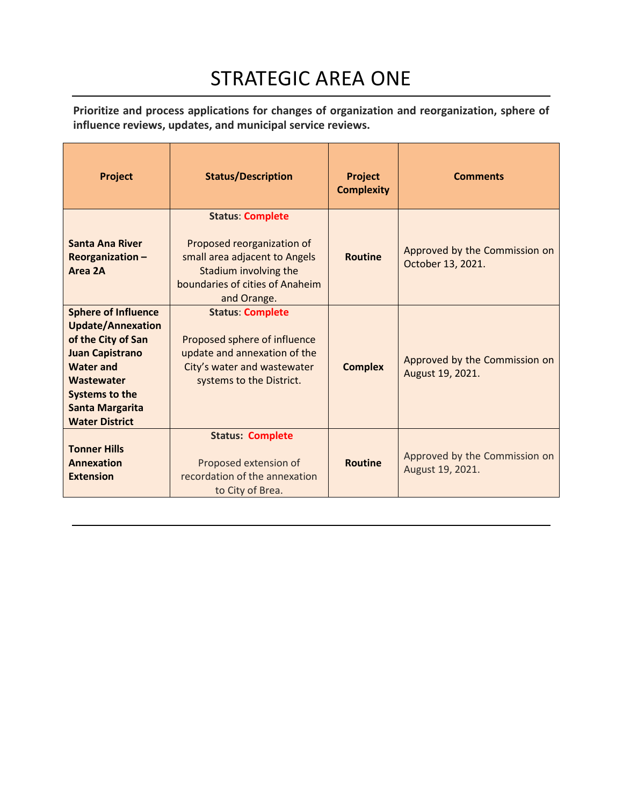# STRATEGIC AREA ONE

**Prioritize and process applications for changes of organization and reorganization, sphere of influence reviews, updates, and municipal service reviews.**

| Project                                                                                                                                                                                                              | <b>Status/Description</b>                                                                                                                                         | Project<br><b>Complexity</b> | <b>Comments</b>                                    |
|----------------------------------------------------------------------------------------------------------------------------------------------------------------------------------------------------------------------|-------------------------------------------------------------------------------------------------------------------------------------------------------------------|------------------------------|----------------------------------------------------|
| <b>Santa Ana River</b><br>Reorganization-<br>Area 2A                                                                                                                                                                 | <b>Status: Complete</b><br>Proposed reorganization of<br>small area adjacent to Angels<br>Stadium involving the<br>boundaries of cities of Anaheim<br>and Orange. | <b>Routine</b>               | Approved by the Commission on<br>October 13, 2021. |
| <b>Sphere of Influence</b><br><b>Update/Annexation</b><br>of the City of San<br><b>Juan Capistrano</b><br><b>Water and</b><br>Wastewater<br><b>Systems to the</b><br><b>Santa Margarita</b><br><b>Water District</b> | <b>Status: Complete</b><br>Proposed sphere of influence<br>update and annexation of the<br>City's water and wastewater<br>systems to the District.                | <b>Complex</b>               | Approved by the Commission on<br>August 19, 2021.  |
| <b>Tonner Hills</b><br>Annexation<br><b>Extension</b>                                                                                                                                                                | <b>Status: Complete</b><br>Proposed extension of<br>recordation of the annexation<br>to City of Brea.                                                             | <b>Routine</b>               | Approved by the Commission on<br>August 19, 2021.  |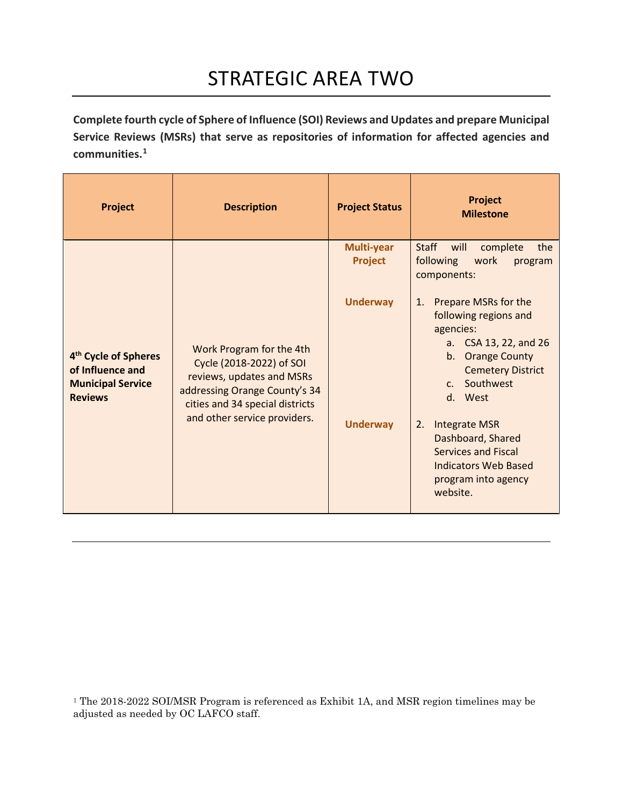**Complete fourth cycle of Sphere of Influence (SOI) Reviews and Updates and prepare Municipal Service Reviews (MSRs) that serve as repositories of information for affected agencies and communities.[1](#page-2-0)**

| Project                                                                                            | <b>Description</b>                                                                                                                                                                    | <b>Project Status</b>              | Project<br><b>Milestone</b>                                                                                                                                                                                                                                                                                                                               |
|----------------------------------------------------------------------------------------------------|---------------------------------------------------------------------------------------------------------------------------------------------------------------------------------------|------------------------------------|-----------------------------------------------------------------------------------------------------------------------------------------------------------------------------------------------------------------------------------------------------------------------------------------------------------------------------------------------------------|
|                                                                                                    |                                                                                                                                                                                       | Multi-year<br>Project              | <b>Staff</b><br>complete<br>the<br>will<br>following<br>work<br>program<br>components:                                                                                                                                                                                                                                                                    |
| 4 <sup>th</sup> Cycle of Spheres<br>of Influence and<br><b>Municipal Service</b><br><b>Reviews</b> | Work Program for the 4th<br>Cycle (2018-2022) of SOI<br>reviews, updates and MSRs<br>addressing Orange County's 34<br>cities and 34 special districts<br>and other service providers. | <b>Underway</b><br><b>Underway</b> | Prepare MSRs for the<br>1.<br>following regions and<br>agencies:<br>a. CSA 13, 22, and 26<br><b>Orange County</b><br>$b_{\cdot}$<br><b>Cemetery District</b><br>Southwest<br>C <sub>1</sub><br>d. West<br><b>Integrate MSR</b><br>2.<br>Dashboard, Shared<br><b>Services and Fiscal</b><br><b>Indicators Web Based</b><br>program into agency<br>website. |

<span id="page-2-0"></span><sup>1</sup> The 2018-2022 SOI/MSR Program is referenced as Exhibit 1A, and MSR region timelines may be adjusted as needed by OC LAFCO staff.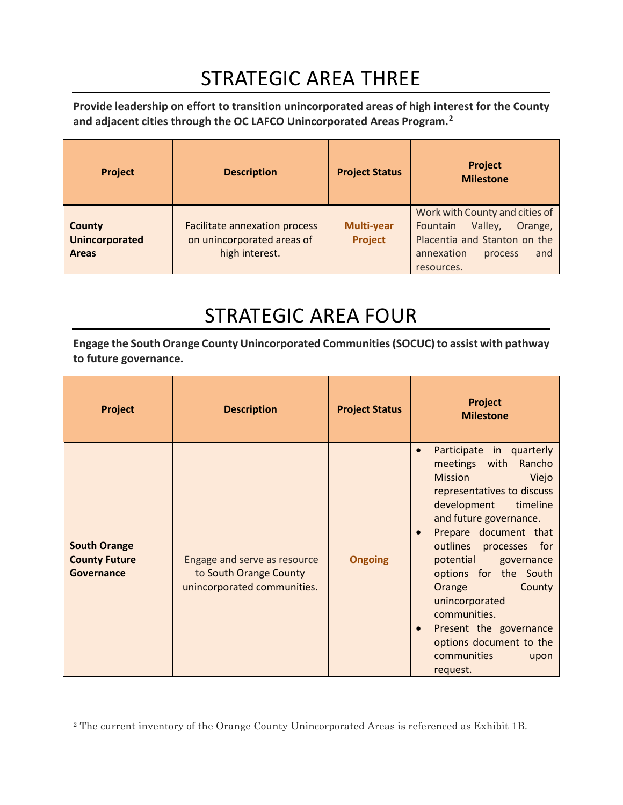## STRATEGIC AREA THREE

**Provide leadership on effort to transition unincorporated areas of high interest for the County and adjacent cities through the OC LAFCO Unincorporated Areas Program.[2](#page-3-0)**

| <b>Project</b>                                         | <b>Description</b>                                                                   | <b>Project Status</b>               | <b>Project</b><br><b>Milestone</b>                                                                                                             |
|--------------------------------------------------------|--------------------------------------------------------------------------------------|-------------------------------------|------------------------------------------------------------------------------------------------------------------------------------------------|
| <b>County</b><br><b>Unincorporated</b><br><b>Areas</b> | <b>Facilitate annexation process</b><br>on unincorporated areas of<br>high interest. | <b>Multi-year</b><br><b>Project</b> | Work with County and cities of<br>Valley,<br>Fountain<br>Orange,<br>Placentia and Stanton on the<br>annexation<br>and<br>process<br>resources. |

# STRATEGIC AREA FOUR

**Engage the South Orange County Unincorporated Communities (SOCUC) to assist with pathway to future governance.** 

| Project                                                          | <b>Description</b>                                                                    | <b>Project Status</b> | <b>Project</b><br><b>Milestone</b>                                                                                                                                                                                                                                                                                                                                                                                                                |
|------------------------------------------------------------------|---------------------------------------------------------------------------------------|-----------------------|---------------------------------------------------------------------------------------------------------------------------------------------------------------------------------------------------------------------------------------------------------------------------------------------------------------------------------------------------------------------------------------------------------------------------------------------------|
| <b>South Orange</b><br><b>County Future</b><br><b>Governance</b> | Engage and serve as resource<br>to South Orange County<br>unincorporated communities. | <b>Ongoing</b>        | Participate in quarterly<br>$\bullet$<br>meetings with<br>Rancho<br><b>Mission</b><br>Viejo<br>representatives to discuss<br>development timeline<br>and future governance.<br>Prepare document that<br>outlines processes for<br>potential governance<br>options for the South<br><b>Orange</b><br>County<br>unincorporated<br>communities.<br>Present the governance<br>$\bullet$<br>options document to the<br>communities<br>upon<br>request. |

<span id="page-3-0"></span><sup>2</sup> The current inventory of the Orange County Unincorporated Areas is referenced as Exhibit 1B.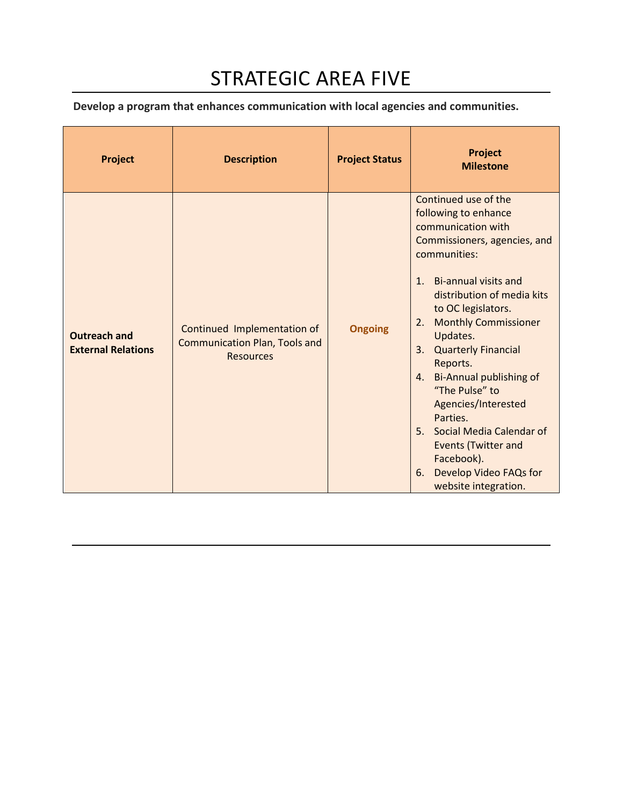## STRATEGIC AREA FIVE

**Develop a program that enhances communication with local agencies and communities.**

| <b>Project</b>                                   | <b>Description</b>                                                                      | <b>Project Status</b> | <b>Project</b><br><b>Milestone</b>                                                                                                                                                                                                                                                                                                                                                                                                                                                                                                                               |
|--------------------------------------------------|-----------------------------------------------------------------------------------------|-----------------------|------------------------------------------------------------------------------------------------------------------------------------------------------------------------------------------------------------------------------------------------------------------------------------------------------------------------------------------------------------------------------------------------------------------------------------------------------------------------------------------------------------------------------------------------------------------|
| <b>Outreach and</b><br><b>External Relations</b> | Continued Implementation of<br><b>Communication Plan, Tools and</b><br><b>Resources</b> | <b>Ongoing</b>        | Continued use of the<br>following to enhance<br>communication with<br>Commissioners, agencies, and<br>communities:<br><b>Bi-annual visits and</b><br>1 <sub>1</sub><br>distribution of media kits<br>to OC legislators.<br><b>Monthly Commissioner</b><br>2.<br>Updates.<br><b>Quarterly Financial</b><br>3.<br>Reports.<br>Bi-Annual publishing of<br>4.<br>"The Pulse" to<br>Agencies/Interested<br>Parties.<br>Social Media Calendar of<br>5 <sub>1</sub><br><b>Events (Twitter and</b><br>Facebook).<br>Develop Video FAQs for<br>6.<br>website integration. |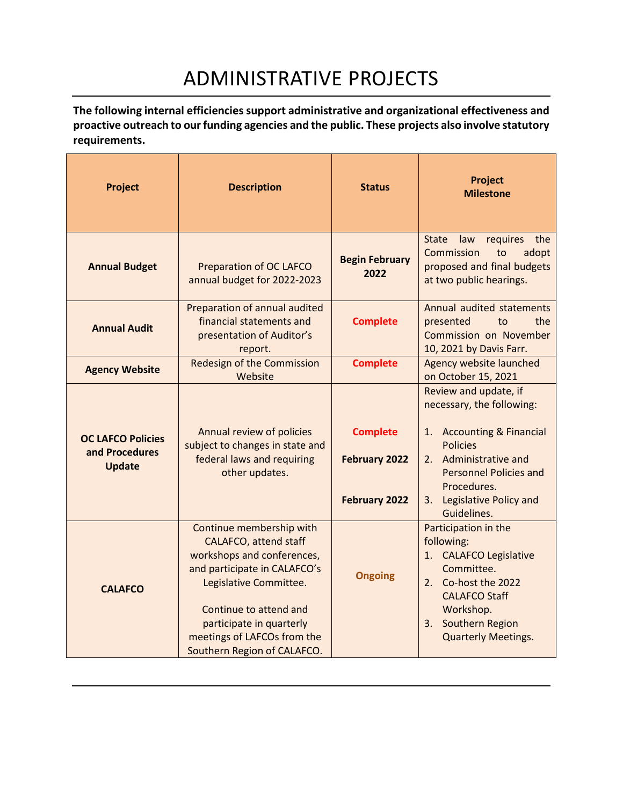# ADMINISTRATIVE PROJECTS

**The following internal efficiencies support administrative and organizational effectiveness and proactive outreach to our funding agencies and the public. These projects also involve statutory requirements.**

| <b>Project</b>                                              | <b>Description</b>                                                                                                                                                                                                                                                   | <b>Status</b>                                                   | Project<br><b>Milestone</b>                                                                                                                                                                                                   |
|-------------------------------------------------------------|----------------------------------------------------------------------------------------------------------------------------------------------------------------------------------------------------------------------------------------------------------------------|-----------------------------------------------------------------|-------------------------------------------------------------------------------------------------------------------------------------------------------------------------------------------------------------------------------|
| <b>Annual Budget</b>                                        | <b>Preparation of OC LAFCO</b><br>annual budget for 2022-2023                                                                                                                                                                                                        | <b>Begin February</b><br>2022                                   | <b>State</b><br>requires<br>the<br>law<br>Commission<br>adopt<br>to<br>proposed and final budgets<br>at two public hearings.                                                                                                  |
| <b>Annual Audit</b>                                         | Preparation of annual audited<br>financial statements and<br>presentation of Auditor's<br>report.                                                                                                                                                                    | <b>Complete</b>                                                 | Annual audited statements<br>the<br>presented<br>to<br>Commission on November<br>10, 2021 by Davis Farr.                                                                                                                      |
| <b>Agency Website</b>                                       | <b>Redesign of the Commission</b><br>Website                                                                                                                                                                                                                         | <b>Complete</b>                                                 | Agency website launched<br>on October 15, 2021                                                                                                                                                                                |
| <b>OC LAFCO Policies</b><br>and Procedures<br><b>Update</b> | Annual review of policies<br>subject to changes in state and<br>federal laws and requiring<br>other updates.                                                                                                                                                         | <b>Complete</b><br><b>February 2022</b><br><b>February 2022</b> | Review and update, if<br>necessary, the following:<br>1. Accounting & Financial<br><b>Policies</b><br>Administrative and<br>2.<br><b>Personnel Policies and</b><br>Procedures.<br>Legislative Policy and<br>3.<br>Guidelines. |
| <b>CALAFCO</b>                                              | Continue membership with<br><b>CALAFCO, attend staff</b><br>workshops and conferences,<br>and participate in CALAFCO's<br>Legislative Committee.<br>Continue to attend and<br>participate in quarterly<br>meetings of LAFCOs from the<br>Southern Region of CALAFCO. | <b>Ongoing</b>                                                  | Participation in the<br>following:<br>1. CALAFCO Legislative<br>Committee.<br>2. Co-host the 2022<br><b>CALAFCO Staff</b><br>Workshop.<br>3. Southern Region<br><b>Quarterly Meetings.</b>                                    |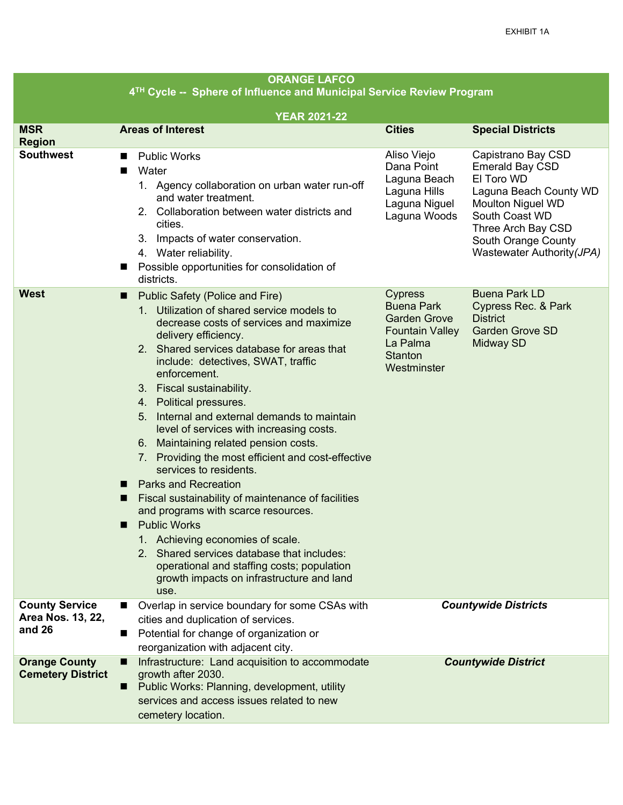| <b>ORANGE LAFCO</b><br>4 <sup>TH</sup> Cycle -- Sphere of Influence and Municipal Service Review Program |                                                                                                                                                                                                                                                                                                                                                                                                                                                                                                                                                                                                                                                                                                                                                                                                                                                                                                        |                                                                                                                                   |                                                                                                                                                                                                               |
|----------------------------------------------------------------------------------------------------------|--------------------------------------------------------------------------------------------------------------------------------------------------------------------------------------------------------------------------------------------------------------------------------------------------------------------------------------------------------------------------------------------------------------------------------------------------------------------------------------------------------------------------------------------------------------------------------------------------------------------------------------------------------------------------------------------------------------------------------------------------------------------------------------------------------------------------------------------------------------------------------------------------------|-----------------------------------------------------------------------------------------------------------------------------------|---------------------------------------------------------------------------------------------------------------------------------------------------------------------------------------------------------------|
| <b>YEAR 2021-22</b>                                                                                      |                                                                                                                                                                                                                                                                                                                                                                                                                                                                                                                                                                                                                                                                                                                                                                                                                                                                                                        |                                                                                                                                   |                                                                                                                                                                                                               |
| <b>MSR</b><br><b>Region</b>                                                                              | <b>Areas of Interest</b>                                                                                                                                                                                                                                                                                                                                                                                                                                                                                                                                                                                                                                                                                                                                                                                                                                                                               | <b>Cities</b>                                                                                                                     | <b>Special Districts</b>                                                                                                                                                                                      |
| <b>Southwest</b>                                                                                         | <b>Public Works</b><br>п<br>Water<br>■<br>1. Agency collaboration on urban water run-off<br>and water treatment.<br>2. Collaboration between water districts and<br>cities.<br>Impacts of water conservation.<br>З.<br>4. Water reliability.<br>Possible opportunities for consolidation of<br>ш<br>districts.                                                                                                                                                                                                                                                                                                                                                                                                                                                                                                                                                                                         | Aliso Viejo<br>Dana Point<br>Laguna Beach<br>Laguna Hills<br>Laguna Niguel<br>Laguna Woods                                        | Capistrano Bay CSD<br><b>Emerald Bay CSD</b><br>El Toro WD<br>Laguna Beach County WD<br><b>Moulton Niguel WD</b><br>South Coast WD<br>Three Arch Bay CSD<br>South Orange County<br>Wastewater Authority (JPA) |
| <b>West</b>                                                                                              | Public Safety (Police and Fire)<br>ш<br>1. Utilization of shared service models to<br>decrease costs of services and maximize<br>delivery efficiency.<br>2. Shared services database for areas that<br>include: detectives, SWAT, traffic<br>enforcement.<br>Fiscal sustainability.<br>3.<br>4. Political pressures.<br>Internal and external demands to maintain<br>5.<br>level of services with increasing costs.<br>Maintaining related pension costs.<br>6.<br>7. Providing the most efficient and cost-effective<br>services to residents.<br><b>Parks and Recreation</b><br>ш<br>Fiscal sustainability of maintenance of facilities<br>ш<br>and programs with scarce resources.<br><b>Public Works</b><br>ш<br>1. Achieving economies of scale.<br>2. Shared services database that includes:<br>operational and staffing costs; population<br>growth impacts on infrastructure and land<br>use. | <b>Cypress</b><br><b>Buena Park</b><br><b>Garden Grove</b><br><b>Fountain Valley</b><br>La Palma<br><b>Stanton</b><br>Westminster | <b>Buena Park LD</b><br>Cypress Rec. & Park<br><b>District</b><br><b>Garden Grove SD</b><br>Midway SD                                                                                                         |
| <b>County Service</b><br>Area Nos. 13, 22,<br>and 26                                                     | Overlap in service boundary for some CSAs with<br>▬<br>cities and duplication of services.<br>Potential for change of organization or<br>■<br>reorganization with adjacent city.                                                                                                                                                                                                                                                                                                                                                                                                                                                                                                                                                                                                                                                                                                                       |                                                                                                                                   | <b>Countywide Districts</b>                                                                                                                                                                                   |
| <b>Orange County</b><br><b>Cemetery District</b>                                                         | Infrastructure: Land acquisition to accommodate<br>ш<br>growth after 2030.<br>Public Works: Planning, development, utility<br>services and access issues related to new<br>cemetery location.                                                                                                                                                                                                                                                                                                                                                                                                                                                                                                                                                                                                                                                                                                          |                                                                                                                                   | <b>Countywide District</b>                                                                                                                                                                                    |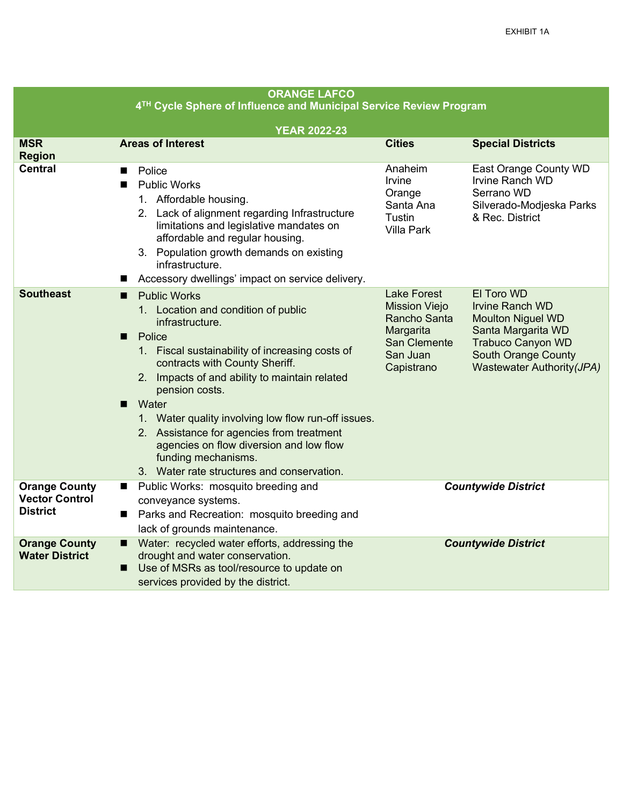| <b>ORANGE LAFCO</b>                                                            |                                                                                                                                                                                                                                                                                                                                                                                                                                                                              |                                                                                                                   |                                                                                                                                                                                |
|--------------------------------------------------------------------------------|------------------------------------------------------------------------------------------------------------------------------------------------------------------------------------------------------------------------------------------------------------------------------------------------------------------------------------------------------------------------------------------------------------------------------------------------------------------------------|-------------------------------------------------------------------------------------------------------------------|--------------------------------------------------------------------------------------------------------------------------------------------------------------------------------|
| 4 <sup>TH</sup> Cycle Sphere of Influence and Municipal Service Review Program |                                                                                                                                                                                                                                                                                                                                                                                                                                                                              |                                                                                                                   |                                                                                                                                                                                |
|                                                                                | <b>YEAR 2022-23</b>                                                                                                                                                                                                                                                                                                                                                                                                                                                          |                                                                                                                   |                                                                                                                                                                                |
| <b>MSR</b><br><b>Region</b>                                                    | <b>Areas of Interest</b>                                                                                                                                                                                                                                                                                                                                                                                                                                                     | <b>Cities</b>                                                                                                     | <b>Special Districts</b>                                                                                                                                                       |
| <b>Central</b><br>■<br>■<br>■                                                  | Police<br><b>Public Works</b><br>1. Affordable housing.<br>2. Lack of alignment regarding Infrastructure<br>limitations and legislative mandates on<br>affordable and regular housing.<br>3. Population growth demands on existing<br>infrastructure.<br>Accessory dwellings' impact on service delivery.                                                                                                                                                                    | Anaheim<br>Irvine<br>Orange<br>Santa Ana<br><b>Tustin</b><br><b>Villa Park</b>                                    | East Orange County WD<br><b>Irvine Ranch WD</b><br>Serrano WD<br>Silverado-Modjeska Parks<br>& Rec. District                                                                   |
| <b>Southeast</b><br>■<br>■                                                     | <b>Public Works</b><br>1. Location and condition of public<br>infrastructure.<br>Police<br>1. Fiscal sustainability of increasing costs of<br>contracts with County Sheriff.<br>2. Impacts of and ability to maintain related<br>pension costs.<br>Water<br>1. Water quality involving low flow run-off issues.<br>2. Assistance for agencies from treatment<br>agencies on flow diversion and low flow<br>funding mechanisms.<br>3. Water rate structures and conservation. | <b>Lake Forest</b><br><b>Mission Viejo</b><br>Rancho Santa<br>Margarita<br>San Clemente<br>San Juan<br>Capistrano | El Toro WD<br><b>Irvine Ranch WD</b><br><b>Moulton Niguel WD</b><br>Santa Margarita WD<br><b>Trabuco Canyon WD</b><br><b>South Orange County</b><br>Wastewater Authority (JPA) |
| <b>Orange County</b><br>■<br><b>Vector Control</b><br><b>District</b><br>■     | Public Works: mosquito breeding and<br>conveyance systems.<br>Parks and Recreation: mosquito breeding and<br>lack of grounds maintenance.                                                                                                                                                                                                                                                                                                                                    |                                                                                                                   | <b>Countywide District</b>                                                                                                                                                     |
| <b>Orange County</b><br>п<br><b>Water District</b><br>П                        | Water: recycled water efforts, addressing the<br>drought and water conservation.<br>Use of MSRs as tool/resource to update on<br>services provided by the district.                                                                                                                                                                                                                                                                                                          |                                                                                                                   | <b>Countywide District</b>                                                                                                                                                     |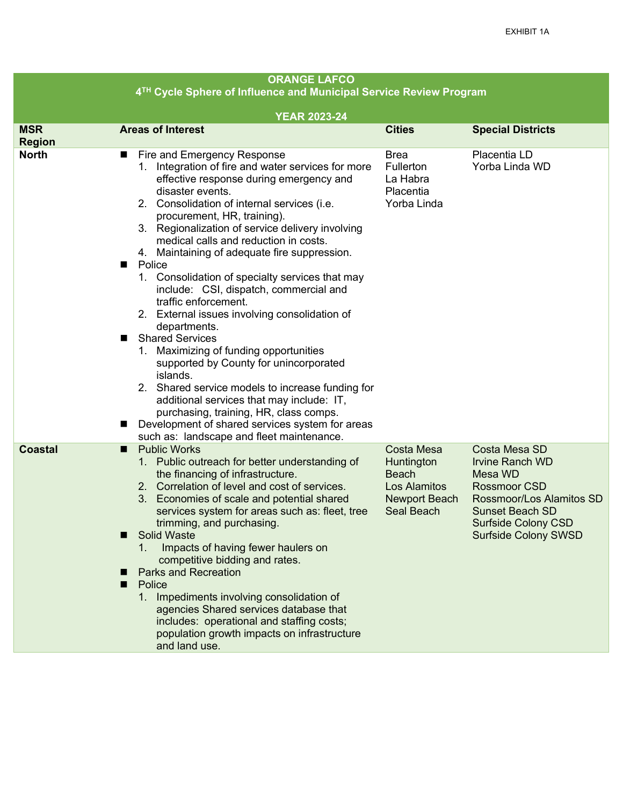| <b>ORANGE LAFCO</b><br>4 <sup>TH</sup> Cycle Sphere of Influence and Municipal Service Review Program |                                                                                                                                                                                                                                                                                                                                                                                                                                                                                                                                                                                                                                                                                                                                                                                                                                                                                                                     |                                                                                                |                                                                                                                                                                                                     |  |
|-------------------------------------------------------------------------------------------------------|---------------------------------------------------------------------------------------------------------------------------------------------------------------------------------------------------------------------------------------------------------------------------------------------------------------------------------------------------------------------------------------------------------------------------------------------------------------------------------------------------------------------------------------------------------------------------------------------------------------------------------------------------------------------------------------------------------------------------------------------------------------------------------------------------------------------------------------------------------------------------------------------------------------------|------------------------------------------------------------------------------------------------|-----------------------------------------------------------------------------------------------------------------------------------------------------------------------------------------------------|--|
|                                                                                                       |                                                                                                                                                                                                                                                                                                                                                                                                                                                                                                                                                                                                                                                                                                                                                                                                                                                                                                                     |                                                                                                |                                                                                                                                                                                                     |  |
| <b>MSR</b>                                                                                            | <b>YEAR 2023-24</b><br><b>Areas of Interest</b>                                                                                                                                                                                                                                                                                                                                                                                                                                                                                                                                                                                                                                                                                                                                                                                                                                                                     | <b>Cities</b>                                                                                  |                                                                                                                                                                                                     |  |
| <b>Region</b>                                                                                         |                                                                                                                                                                                                                                                                                                                                                                                                                                                                                                                                                                                                                                                                                                                                                                                                                                                                                                                     |                                                                                                | <b>Special Districts</b>                                                                                                                                                                            |  |
| <b>North</b>                                                                                          | Fire and Emergency Response<br>ш<br>Integration of fire and water services for more<br>1.<br>effective response during emergency and<br>disaster events.<br>2. Consolidation of internal services (i.e.<br>procurement, HR, training).<br>3. Regionalization of service delivery involving<br>medical calls and reduction in costs.<br>4. Maintaining of adequate fire suppression.<br>Police<br>ш<br>1. Consolidation of specialty services that may<br>include: CSI, dispatch, commercial and<br>traffic enforcement.<br>2. External issues involving consolidation of<br>departments.<br><b>Shared Services</b><br>Maximizing of funding opportunities<br>1.<br>supported by County for unincorporated<br>islands.<br>2. Shared service models to increase funding for<br>additional services that may include: IT,<br>purchasing, training, HR, class comps.<br>Development of shared services system for areas | <b>Brea</b><br>Fullerton<br>La Habra<br>Placentia<br>Yorba Linda                               | Placentia LD<br>Yorba Linda WD                                                                                                                                                                      |  |
| <b>Coastal</b>                                                                                        | such as: landscape and fleet maintenance.<br><b>Public Works</b><br>п<br>Public outreach for better understanding of<br>1.<br>the financing of infrastructure.<br>2. Correlation of level and cost of services.<br>Economies of scale and potential shared<br>3.<br>services system for areas such as: fleet, tree<br>trimming, and purchasing.<br><b>Solid Waste</b><br>Impacts of having fewer haulers on<br>1.<br>competitive bidding and rates.<br><b>Parks and Recreation</b><br>Police<br>■<br>1. Impediments involving consolidation of<br>agencies Shared services database that<br>includes: operational and staffing costs;<br>population growth impacts on infrastructure<br>and land use.                                                                                                                                                                                                               | <b>Costa Mesa</b><br>Huntington<br><b>Beach</b><br>Los Alamitos<br>Newport Beach<br>Seal Beach | <b>Costa Mesa SD</b><br><b>Irvine Ranch WD</b><br>Mesa WD<br><b>Rossmoor CSD</b><br>Rossmoor/Los Alamitos SD<br><b>Sunset Beach SD</b><br><b>Surfside Colony CSD</b><br><b>Surfside Colony SWSD</b> |  |